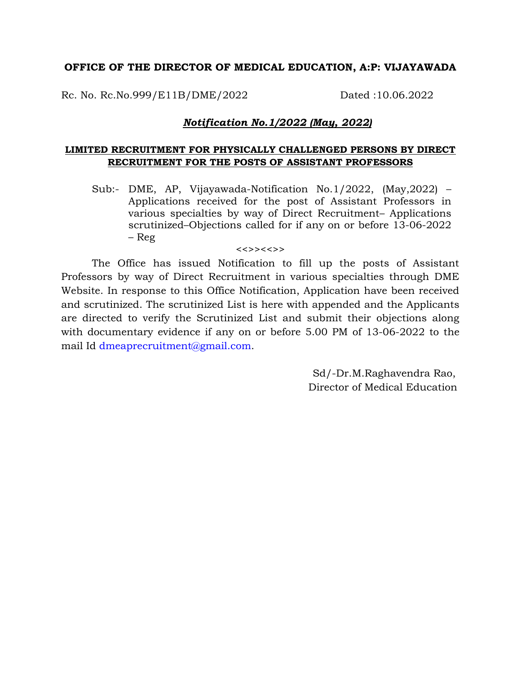## **OFFICE OF THE DIRECTOR OF MEDICAL EDUCATION, A:P: VIJAYAWADA**

Rc. No. Rc.No.999/E11B/DME/2022 Dated :10.06.2022

## *Notification No.1/2022 (May, 2022)*

## **LIMITED RECRUITMENT FOR PHYSICALLY CHALLENGED PERSONS BY DIRECT RECRUITMENT FOR THE POSTS OF ASSISTANT PROFESSORS**

Sub:- DME, AP, Vijayawada-Notification No.1/2022, (May,2022) – Applications received for the post of Assistant Professors in various specialties by way of Direct Recruitment– Applications scrutinized–Objections called for if any on or before 13-06-2022 – Reg

## <<>><<>>

The Office has issued Notification to fill up the posts of Assistant Professors by way of Direct Recruitment in various specialties through DME Website. In response to this Office Notification, Application have been received and scrutinized. The scrutinized List is here with appended and the Applicants are directed to verify the Scrutinized List and submit their objections along with documentary evidence if any on or before 5.00 PM of 13-06-2022 to the mail Id [dmeaprecruitment@gmail.com.](mailto:dmeaprecruitment@gmail.com)

> Sd/-Dr.M.Raghavendra Rao, Director of Medical Education